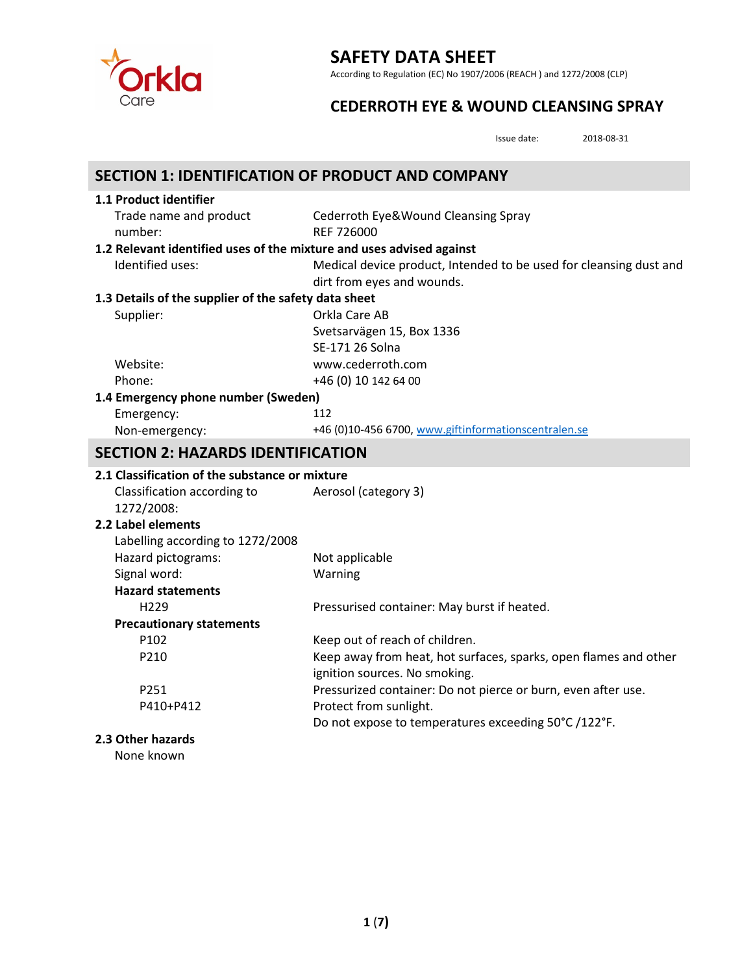

According to Regulation (EC) No 1907/2006 (REACH ) and 1272/2008 (CLP)

## **CEDERROTH EYE & WOUND CLEANSING SPRAY**

Issue date: 2018-08-31

| <b>SECTION 1: IDENTIFICATION OF PRODUCT AND COMPANY</b>              |                                                                    |  |
|----------------------------------------------------------------------|--------------------------------------------------------------------|--|
| 1.1 Product identifier                                               |                                                                    |  |
| Trade name and product                                               | Cederroth Eye&Wound Cleansing Spray                                |  |
| number:                                                              | REF 726000                                                         |  |
| 1.2 Relevant identified uses of the mixture and uses advised against |                                                                    |  |
| Identified uses:                                                     | Medical device product, Intended to be used for cleansing dust and |  |
|                                                                      | dirt from eyes and wounds.                                         |  |
| 1.3 Details of the supplier of the safety data sheet                 |                                                                    |  |
| Supplier:                                                            | Orkla Care AB                                                      |  |
|                                                                      | Svetsarvägen 15, Box 1336                                          |  |
|                                                                      | SE-171 26 Solna                                                    |  |
| Website:                                                             | www.cederroth.com                                                  |  |
| Phone:                                                               | +46 (0) 10 142 64 00                                               |  |
| 1.4 Emergency phone number (Sweden)                                  |                                                                    |  |
| Emergency:                                                           | 112                                                                |  |
| Non-emergency:                                                       | +46 (0)10-456 6700, www.giftinformationscentralen.se               |  |
| <b>SECTION 2: HAZARDS IDENTIFICATION</b>                             |                                                                    |  |
| 2.1 Classification of the substance or mixture                       |                                                                    |  |
| Classification according to                                          | Aerosol (category 3)                                               |  |
| 1272/2008:                                                           |                                                                    |  |
| 2.2 Label elements                                                   |                                                                    |  |
| Labelling according to 1272/2008                                     |                                                                    |  |
| Hazard pictograms:                                                   | Not applicable                                                     |  |
| Signal word:                                                         | Warning                                                            |  |
| <b>Hazard statements</b>                                             |                                                                    |  |
| H <sub>229</sub>                                                     | Pressurised container: May burst if heated.                        |  |
| <b>Precautionary statements</b>                                      |                                                                    |  |
| P102                                                                 | Keep out of reach of children.                                     |  |
| P210                                                                 | Keep away from heat, hot surfaces, sparks, open flames and other   |  |
|                                                                      | ignition sources. No smoking.                                      |  |
| P251                                                                 | Pressurized container: Do not pierce or burn, even after use.      |  |
| P410+P412                                                            | Protect from sunlight.                                             |  |
|                                                                      | Do not expose to temperatures exceeding 50°C /122°F.               |  |
| 2.3 Other hazards                                                    |                                                                    |  |
| None known                                                           |                                                                    |  |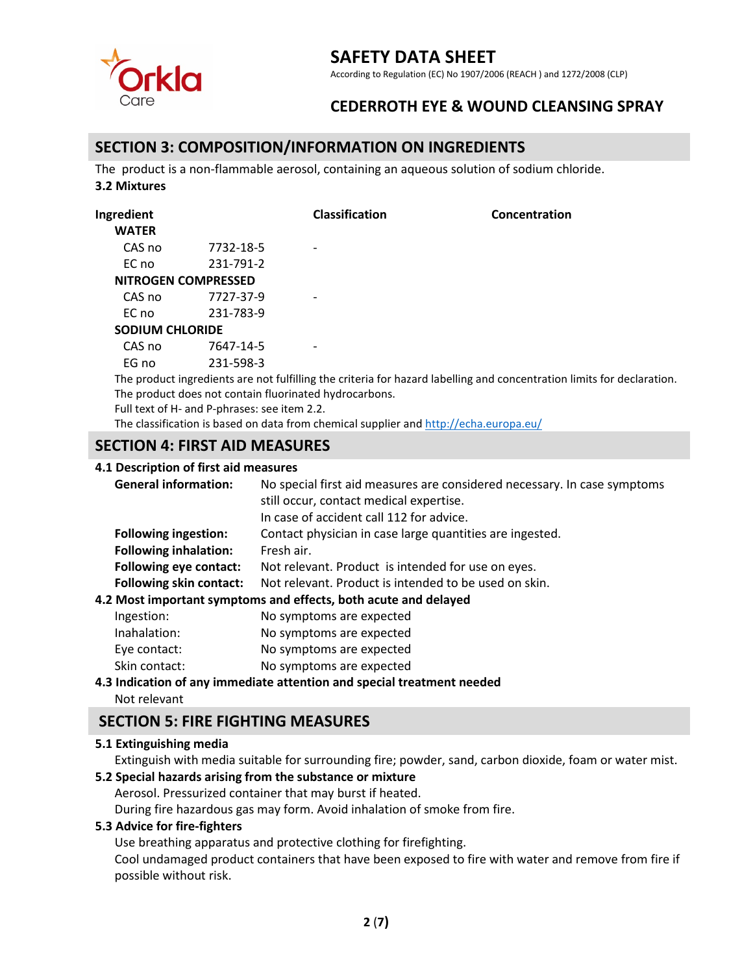

According to Regulation (EC) No 1907/2006 (REACH ) and 1272/2008 (CLP)

## **CEDERROTH EYE & WOUND CLEANSING SPRAY**

### **SECTION 3: COMPOSITION/INFORMATION ON INGREDIENTS**

The product is a non-flammable aerosol, containing an aqueous solution of sodium chloride. **3.2 Mixtures**

| Ingredient             |                                              | <b>Classification</b>                                                                   | Concentration                                                                                                          |
|------------------------|----------------------------------------------|-----------------------------------------------------------------------------------------|------------------------------------------------------------------------------------------------------------------------|
| <b>WATER</b>           |                                              |                                                                                         |                                                                                                                        |
| CAS no                 | 7732-18-5                                    |                                                                                         |                                                                                                                        |
| EC no                  | 231-791-2                                    |                                                                                         |                                                                                                                        |
|                        | NITROGEN COMPRESSED                          |                                                                                         |                                                                                                                        |
| CAS no                 | 7727-37-9                                    |                                                                                         |                                                                                                                        |
| EC no                  | 231-783-9                                    |                                                                                         |                                                                                                                        |
| <b>SODIUM CHLORIDE</b> |                                              |                                                                                         |                                                                                                                        |
| CAS no                 | 7647-14-5                                    |                                                                                         |                                                                                                                        |
| FG no                  | 231-598-3                                    |                                                                                         |                                                                                                                        |
|                        |                                              |                                                                                         | The product ingredients are not fulfilling the criteria for hazard labelling and concentration limits for declaration. |
|                        |                                              | The product does not contain fluorinated hydrocarbons.                                  |                                                                                                                        |
|                        | Full text of H- and P-phrases: see item 2.2. |                                                                                         |                                                                                                                        |
|                        |                                              | The classification is based on data from chemical supplier and $http://echa.europa.eu/$ |                                                                                                                        |

## **SECTION 4: FIRST AID MEASURES**

#### **4.1 Description of first aid measures**

| 7.1 DCJGHDGOH UL IIIJG UM IIICUJULCJ |                                                                                                                                                                 |
|--------------------------------------|-----------------------------------------------------------------------------------------------------------------------------------------------------------------|
| <b>General information:</b>          | No special first aid measures are considered necessary. In case symptoms<br>still occur, contact medical expertise.<br>In case of accident call 112 for advice. |
| <b>Following ingestion:</b>          | Contact physician in case large quantities are ingested.                                                                                                        |
| <b>Following inhalation:</b>         | Fresh air.                                                                                                                                                      |
| <b>Following eye contact:</b>        | Not relevant. Product is intended for use on eyes.                                                                                                              |
| <b>Following skin contact:</b>       | Not relevant. Product is intended to be used on skin.                                                                                                           |
|                                      | 4.2 Most important symptoms and effects, both acute and delayed                                                                                                 |
| Ingestion:                           | No symptoms are expected                                                                                                                                        |

|               | $1.10$ 3.1.1.10 to 1.1.15 at C capacity |
|---------------|-----------------------------------------|
| Inahalation:  | No symptoms are expected                |
| Eye contact:  | No symptoms are expected                |
| Skin contact: | No symptoms are expected                |

#### **4.3 Indication of any immediate attention and special treatment needed**

Not relevant

### **SECTION 5: FIRE FIGHTING MEASURES**

#### **5.1 Extinguishing media**

Extinguish with media suitable for surrounding fire; powder, sand, carbon dioxide, foam or water mist.

#### **5.2 Special hazards arising from the substance or mixture**

Aerosol. Pressurized container that may burst if heated. During fire hazardous gas may form. Avoid inhalation of smoke from fire.

#### **5.3 Advice for fire-fighters**

Use breathing apparatus and protective clothing for firefighting.

Cool undamaged product containers that have been exposed to fire with water and remove from fire if possible without risk.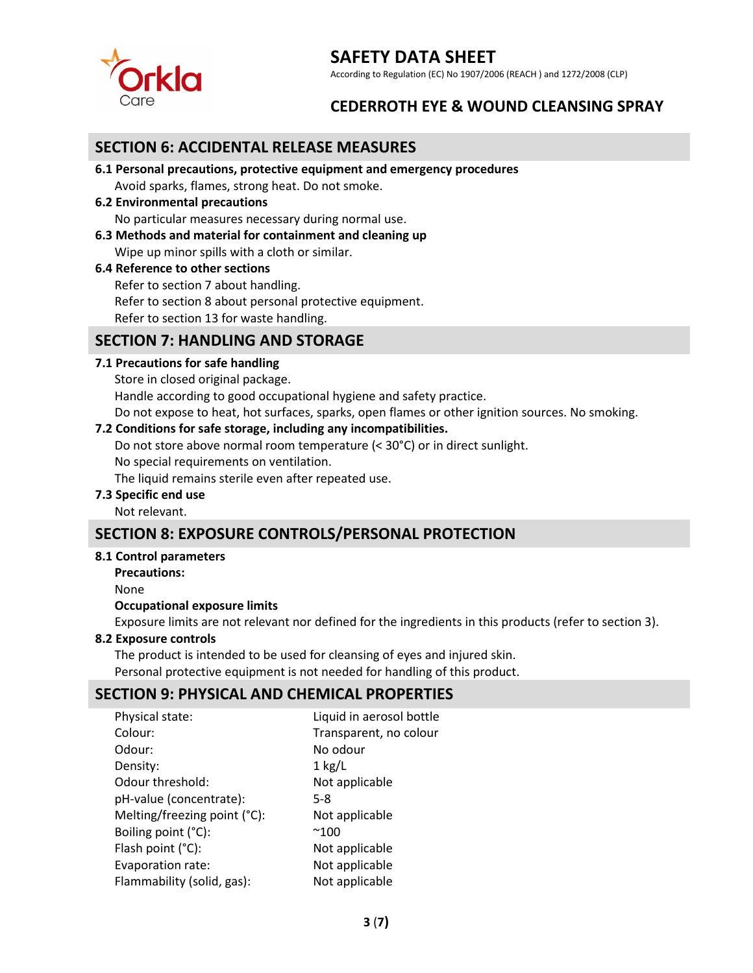

According to Regulation (EC) No 1907/2006 (REACH ) and 1272/2008 (CLP)

## **CEDERROTH EYE & WOUND CLEANSING SPRAY**

### **SECTION 6: ACCIDENTAL RELEASE MEASURES**

**6.1 Personal precautions, protective equipment and emergency procedures**

Avoid sparks, flames, strong heat. Do not smoke.

**6.2 Environmental precautions**

No particular measures necessary during normal use.

**6.3 Methods and material for containment and cleaning up**

Wipe up minor spills with a cloth or similar.

#### **6.4 Reference to other sections**

Refer to section 7 about handling. Refer to section 8 about personal protective equipment. Refer to section 13 for waste handling.

## **SECTION 7: HANDLING AND STORAGE**

#### **7.1 Precautions for safe handling**

Store in closed original package.

Handle according to good occupational hygiene and safety practice.

Do not expose to heat, hot surfaces, sparks, open flames or other ignition sources. No smoking.

#### **7.2 Conditions for safe storage, including any incompatibilities.**

Do not store above normal room temperature (< 30°C) or in direct sunlight.

No special requirements on ventilation.

The liquid remains sterile even after repeated use.

#### **7.3 Specific end use**

Not relevant.

## **SECTION 8: EXPOSURE CONTROLS/PERSONAL PROTECTION**

#### **8.1 Control parameters**

**Precautions:**

None

#### **Occupational exposure limits**

Exposure limits are not relevant nor defined for the ingredients in this products (refer to section 3).

#### **8.2 Exposure controls**

The product is intended to be used for cleansing of eyes and injured skin. Personal protective equipment is not needed for handling of this product.

### **SECTION 9: PHYSICAL AND CHEMICAL PROPERTIES**

| Physical state:              | Liquid in aerosol bottle |
|------------------------------|--------------------------|
| Colour:                      | Transparent, no colour   |
| Odour:                       | No odour                 |
| Density:                     | $1$ kg/L                 |
| Odour threshold:             | Not applicable           |
| pH-value (concentrate):      | 5-8                      |
| Melting/freezing point (°C): | Not applicable           |
| Boiling point (°C):          | $^{\sim}100$             |
| Flash point (°C):            | Not applicable           |
| Evaporation rate:            | Not applicable           |
| Flammability (solid, gas):   | Not applicable           |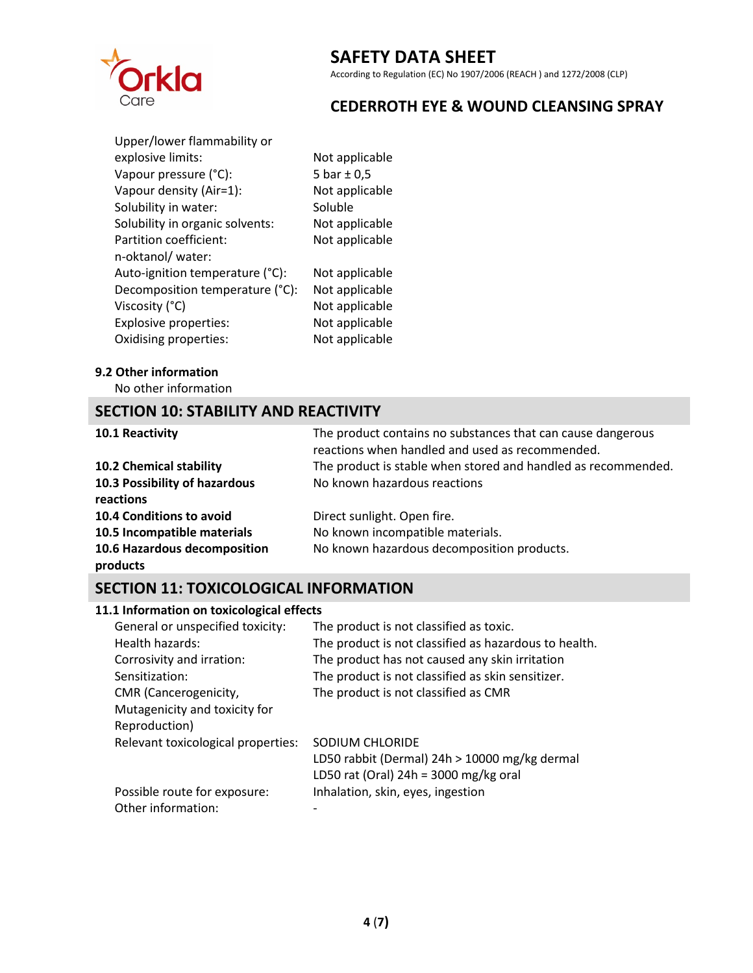

According to Regulation (EC) No 1907/2006 (REACH ) and 1272/2008 (CLP)

## **CEDERROTH EYE & WOUND CLEANSING SPRAY**

| Not applicable  |
|-----------------|
| 5 bar $\pm$ 0,5 |
| Not applicable  |
| Soluble         |
| Not applicable  |
| Not applicable  |
|                 |
| Not applicable  |
| Not applicable  |
| Not applicable  |
| Not applicable  |
| Not applicable  |
|                 |

#### **9.2 Other information**

No other information

## **SECTION 10: STABILITY AND REACTIVITY**

| 10.1 Reactivity                            | The product contains no substances that can cause dangerous<br>reactions when handled and used as recommended. |
|--------------------------------------------|----------------------------------------------------------------------------------------------------------------|
| <b>10.2 Chemical stability</b>             | The product is stable when stored and handled as recommended.                                                  |
| 10.3 Possibility of hazardous<br>reactions | No known hazardous reactions                                                                                   |
| 10.4 Conditions to avoid                   | Direct sunlight. Open fire.                                                                                    |
| 10.5 Incompatible materials                | No known incompatible materials.                                                                               |
| 10.6 Hazardous decomposition<br>products   | No known hazardous decomposition products.                                                                     |

## **SECTION 11: TOXICOLOGICAL INFORMATION**

### **11.1 Information on toxicological effects**

| The product is not classified as toxic.               |
|-------------------------------------------------------|
| The product is not classified as hazardous to health. |
| The product has not caused any skin irritation        |
| The product is not classified as skin sensitizer.     |
| The product is not classified as CMR                  |
|                                                       |
|                                                       |
| SODIUM CHLORIDE                                       |
| LD50 rabbit (Dermal) 24h > 10000 mg/kg dermal         |
| LD50 rat (Oral) $24h = 3000$ mg/kg oral               |
| Inhalation, skin, eyes, ingestion                     |
|                                                       |
|                                                       |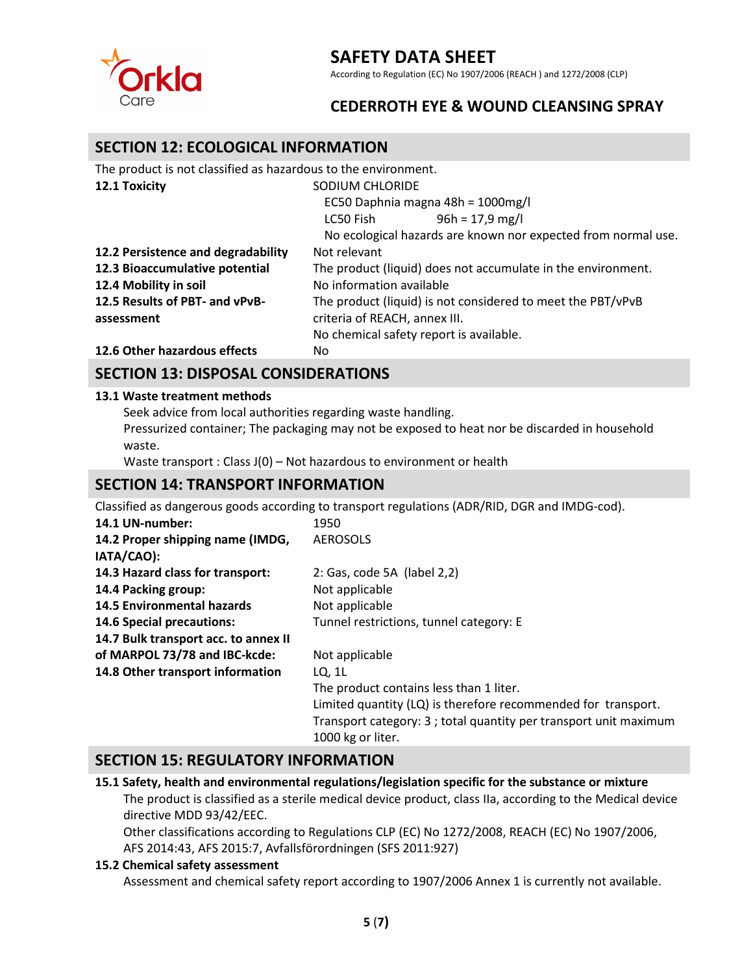

According to Regulation (EC) No 1907/2006 (REACH ) and 1272/2008 (CLP)

## **CEDERROTH EYE & WOUND CLEANSING SPRAY**

### **SECTION 12: ECOLOGICAL INFORMATION**

| The product is not classified as hazardous to the environment. |                                                               |  |
|----------------------------------------------------------------|---------------------------------------------------------------|--|
| 12.1 Toxicity                                                  | SODIUM CHLORIDE                                               |  |
|                                                                | EC50 Daphnia magna 48h = 1000mg/l                             |  |
|                                                                | $96h = 17.9$ mg/l<br>LC50 Fish                                |  |
|                                                                | No ecological hazards are known nor expected from normal use. |  |
| 12.2 Persistence and degradability                             | Not relevant                                                  |  |
| 12.3 Bioaccumulative potential                                 | The product (liquid) does not accumulate in the environment.  |  |
| 12.4 Mobility in soil                                          | No information available                                      |  |
| 12.5 Results of PBT- and vPvB-                                 | The product (liquid) is not considered to meet the PBT/vPvB   |  |
| assessment                                                     | criteria of REACH, annex III.                                 |  |
|                                                                | No chemical safety report is available.                       |  |
| 12.6 Other hazardous effects                                   | No.                                                           |  |

## **SECTION 13: DISPOSAL CONSIDERATIONS**

#### **13.1 Waste treatment methods**

Seek advice from local authorities regarding waste handling.

Pressurized container; The packaging may not be exposed to heat nor be discarded in household waste.

Waste transport : Class J(0) - Not hazardous to environment or health

## **SECTION 14: TRANSPORT INFORMATION**

Classified as dangerous goods according to transport regulations (ADR/RID, DGR and IMDG-cod).

| 14.1 UN-number:                      | 1950                                                             |
|--------------------------------------|------------------------------------------------------------------|
| 14.2 Proper shipping name (IMDG,     | <b>AEROSOLS</b>                                                  |
| IATA/CAO):                           |                                                                  |
| 14.3 Hazard class for transport:     | 2: Gas, code 5A (label 2,2)                                      |
| 14.4 Packing group:                  | Not applicable                                                   |
| <b>14.5 Environmental hazards</b>    | Not applicable                                                   |
| <b>14.6 Special precautions:</b>     | Tunnel restrictions, tunnel category: E                          |
| 14.7 Bulk transport acc. to annex II |                                                                  |
| of MARPOL 73/78 and IBC-kcde:        | Not applicable                                                   |
| 14.8 Other transport information     | LQ, 1L                                                           |
|                                      | The product contains less than 1 liter.                          |
|                                      | Limited quantity (LQ) is therefore recommended for transport.    |
|                                      | Transport category: 3; total quantity per transport unit maximum |
|                                      | 1000 kg or liter.                                                |

### **SECTION 15: REGULATORY INFORMATION**

**15.1 Safety, health and environmental regulations/legislation specific for the substance or mixture**  The product is classified as a sterile medical device product, class IIa, according to the Medical device directive MDD 93/42/EEC.

Other classifications according to Regulations CLP (EC) No 1272/2008, REACH (EC) No 1907/2006, AFS 2014:43, AFS 2015:7, Avfallsförordningen (SFS 2011:927)

#### **15.2 Chemical safety assessment**

Assessment and chemical safety report according to 1907/2006 Annex 1 is currently not available.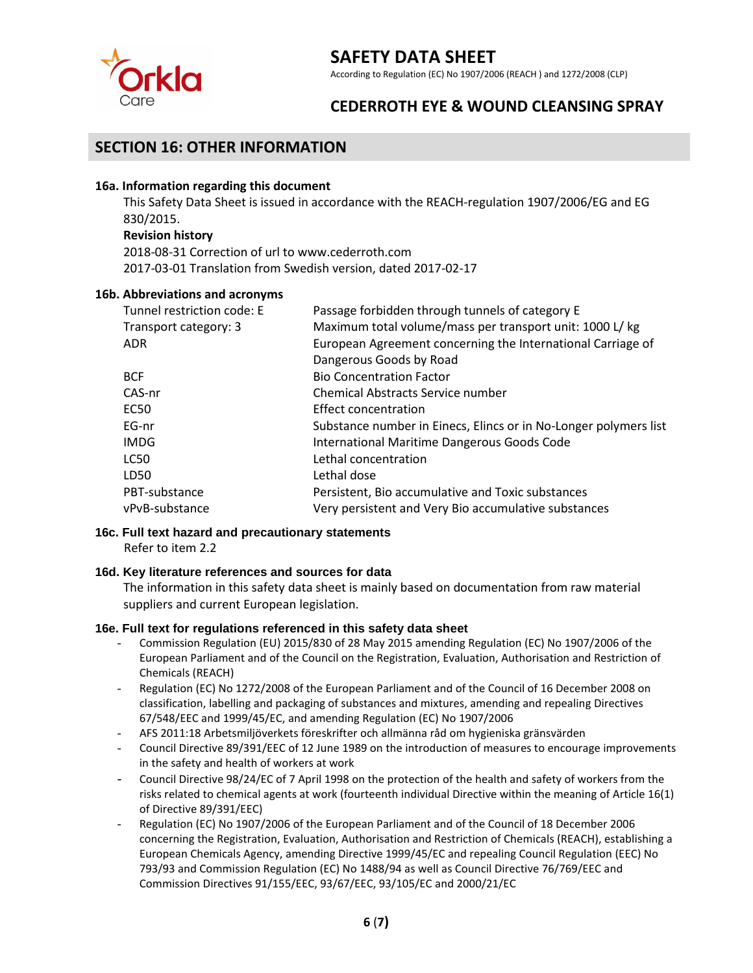

According to Regulation (EC) No 1907/2006 (REACH ) and 1272/2008 (CLP)

## **CEDERROTH EYE & WOUND CLEANSING SPRAY**

### **SECTION 16: OTHER INFORMATION**

#### **16a. Information regarding this document**

This Safety Data Sheet is issued in accordance with the REACH-regulation 1907/2006/EG and EG 830/2015.

#### **Revision history**

2018-08-31 Correction of url to www.cederroth.com 2017-03-01 Translation from Swedish version, dated 2017-02-17

#### **16b. Abbreviations and acronyms**

| Tunnel restriction code: E | Passage forbidden through tunnels of category E                  |
|----------------------------|------------------------------------------------------------------|
| Transport category: 3      | Maximum total volume/mass per transport unit: 1000 L/ kg         |
| ADR                        | European Agreement concerning the International Carriage of      |
|                            | Dangerous Goods by Road                                          |
| <b>BCF</b>                 | <b>Bio Concentration Factor</b>                                  |
| CAS-nr                     | Chemical Abstracts Service number                                |
| <b>EC50</b>                | Effect concentration                                             |
| EG-nr                      | Substance number in Einecs, Elincs or in No-Longer polymers list |
| IMDG                       | International Maritime Dangerous Goods Code                      |
| <b>LC50</b>                | Lethal concentration                                             |
| LD50                       | Lethal dose                                                      |
| PBT-substance              | Persistent, Bio accumulative and Toxic substances                |
| vPvB-substance             | Very persistent and Very Bio accumulative substances             |

### **16c. Full text hazard and precautionary statements**

Refer to item 2.2

#### **16d. Key literature references and sources for data**

The information in this safety data sheet is mainly based on documentation from raw material suppliers and current European legislation.

#### **16e. Full text for regulations referenced in this safety data sheet**

- Commission Regulation (EU) 2015/830 of 28 May 2015 amending Regulation (EC) No 1907/2006 of the European Parliament and of the Council on the Registration, Evaluation, Authorisation and Restriction of Chemicals (REACH)
- Regulation (EC) No 1272/2008 of the European Parliament and of the Council of 16 December 2008 on classification, labelling and packaging of substances and mixtures, amending and repealing Directives 67/548/EEC and 1999/45/EC, and amending Regulation (EC) No 1907/2006
- AFS 2011:18 Arbetsmiljöverkets föreskrifter och allmänna råd om hygieniska gränsvärden
- Council Directive 89/391/EEC of 12 June 1989 on the introduction of measures to encourage improvements in the safety and health of workers at work
- Council Directive 98/24/EC of 7 April 1998 on the protection of the health and safety of workers from the risks related to chemical agents at work (fourteenth individual Directive within the meaning of Article 16(1) of Directive 89/391/EEC)
- Regulation (EC) No 1907/2006 of the European Parliament and of the Council of 18 December 2006 concerning the Registration, Evaluation, Authorisation and Restriction of Chemicals (REACH), establishing a European Chemicals Agency, amending Directive 1999/45/EC and repealing Council Regulation (EEC) No 793/93 and Commission Regulation (EC) No 1488/94 as well as Council Directive 76/769/EEC and Commission Directives 91/155/EEC, 93/67/EEC, 93/105/EC and 2000/21/EC